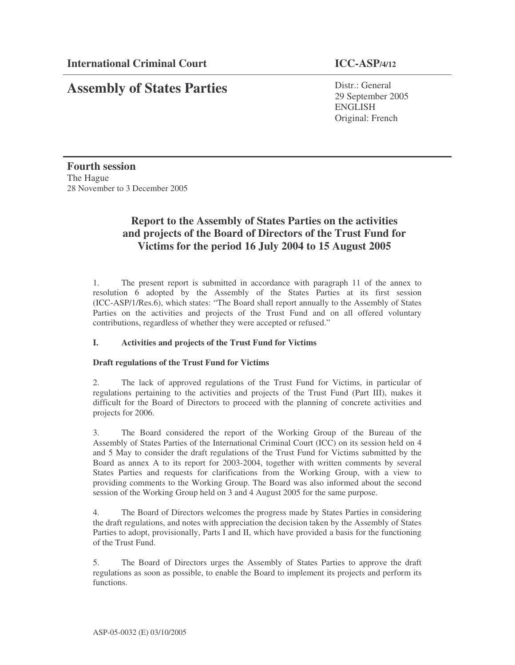# **Assembly of States Parties**

Distr.: General 29 September 2005 ENGLISH Original: French

**Fourth session** The Hague 28 November to 3 December 2005

# **Report to the Assembly of States Parties on the activities and projects of the Board of Directors of the Trust Fund for Victims for the period 16 July 2004 to 15 August 2005**

1. The present report is submitted in accordance with paragraph 11 of the annex to resolution 6 adopted by the Assembly of the States Parties at its first session (ICC-ASP/1/Res.6), which states: "The Board shall report annually to the Assembly of States Parties on the activities and projects of the Trust Fund and on all offered voluntary contributions, regardless of whether they were accepted or refused."

### **I. Activities and projects of the Trust Fund for Victims**

### **Draft regulations of the Trust Fund for Victims**

2. The lack of approved regulations of the Trust Fund for Victims, in particular of regulations pertaining to the activities and projects of the Trust Fund (Part III), makes it difficult for the Board of Directors to proceed with the planning of concrete activities and projects for 2006.

3. The Board considered the report of the Working Group of the Bureau of the Assembly of States Parties of the International Criminal Court (ICC) on its session held on 4 and 5 May to consider the draft regulations of the Trust Fund for Victims submitted by the Board as annex A to its report for 2003-2004, together with written comments by several States Parties and requests for clarifications from the Working Group, with a view to providing comments to the Working Group. The Board was also informed about the second session of the Working Group held on 3 and 4 August 2005 for the same purpose.

4. The Board of Directors welcomes the progress made by States Parties in considering the draft regulations, and notes with appreciation the decision taken by the Assembly of States Parties to adopt, provisionally, Parts I and II, which have provided a basis for the functioning of the Trust Fund.

5. The Board of Directors urges the Assembly of States Parties to approve the draft regulations as soon as possible, to enable the Board to implement its projects and perform its functions.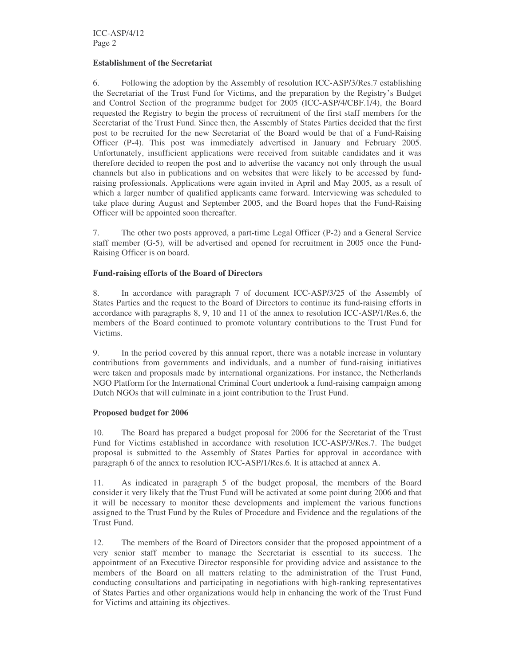#### **Establishment of the Secretariat**

6. Following the adoption by the Assembly of resolution ICC-ASP/3/Res.7 establishing the Secretariat of the Trust Fund for Victims, and the preparation by the Registry's Budget and Control Section of the programme budget for 2005 (ICC-ASP/4/CBF.1/4), the Board requested the Registry to begin the process of recruitment of the first staff members for the Secretariat of the Trust Fund. Since then, the Assembly of States Parties decided that the first post to be recruited for the new Secretariat of the Board would be that of a Fund-Raising Officer (P-4). This post was immediately advertised in January and February 2005. Unfortunately, insufficient applications were received from suitable candidates and it was therefore decided to reopen the post and to advertise the vacancy not only through the usual channels but also in publications and on websites that were likely to be accessed by fundraising professionals. Applications were again invited in April and May 2005, as a result of which a larger number of qualified applicants came forward. Interviewing was scheduled to take place during August and September 2005, and the Board hopes that the Fund-Raising Officer will be appointed soon thereafter.

7. The other two posts approved, a part-time Legal Officer (P-2) and a General Service staff member (G-5), will be advertised and opened for recruitment in 2005 once the Fund-Raising Officer is on board.

#### **Fund-raising efforts of the Board of Directors**

8. In accordance with paragraph 7 of document ICC-ASP/3/25 of the Assembly of States Parties and the request to the Board of Directors to continue its fund-raising efforts in accordance with paragraphs 8, 9, 10 and 11 of the annex to resolution ICC-ASP/1/Res.6, the members of the Board continued to promote voluntary contributions to the Trust Fund for Victims.

9. In the period covered by this annual report, there was a notable increase in voluntary contributions from governments and individuals, and a number of fund-raising initiatives were taken and proposals made by international organizations. For instance, the Netherlands NGO Platform for the International Criminal Court undertook a fund-raising campaign among Dutch NGOs that will culminate in a joint contribution to the Trust Fund.

#### **Proposed budget for 2006**

10. The Board has prepared a budget proposal for 2006 for the Secretariat of the Trust Fund for Victims established in accordance with resolution ICC-ASP/3/Res.7. The budget proposal is submitted to the Assembly of States Parties for approval in accordance with paragraph 6 of the annex to resolution ICC-ASP/1/Res.6. It is attached at annex A.

11. As indicated in paragraph 5 of the budget proposal, the members of the Board consider it very likely that the Trust Fund will be activated at some point during 2006 and that it will be necessary to monitor these developments and implement the various functions assigned to the Trust Fund by the Rules of Procedure and Evidence and the regulations of the Trust Fund.

12. The members of the Board of Directors consider that the proposed appointment of a very senior staff member to manage the Secretariat is essential to its success. The appointment of an Executive Director responsible for providing advice and assistance to the members of the Board on all matters relating to the administration of the Trust Fund, conducting consultations and participating in negotiations with high-ranking representatives of States Parties and other organizations would help in enhancing the work of the Trust Fund for Victims and attaining its objectives.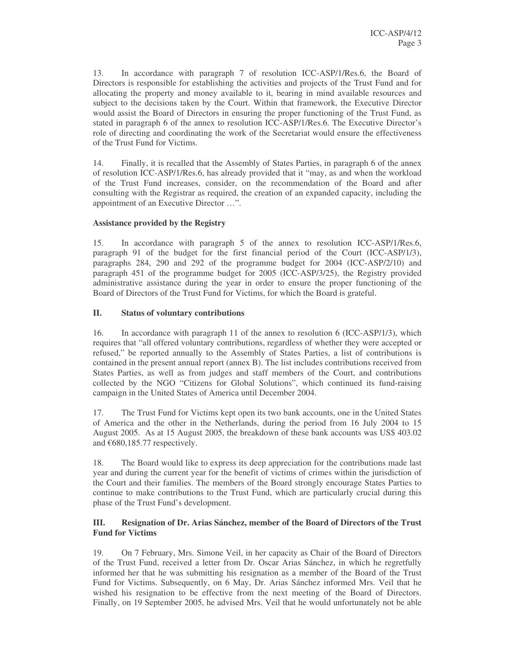13. In accordance with paragraph 7 of resolution ICC-ASP/1/Res.6, the Board of Directors is responsible for establishing the activities and projects of the Trust Fund and for allocating the property and money available to it, bearing in mind available resources and subject to the decisions taken by the Court. Within that framework, the Executive Director would assist the Board of Directors in ensuring the proper functioning of the Trust Fund, as stated in paragraph 6 of the annex to resolution ICC-ASP/1/Res.6. The Executive Director's role of directing and coordinating the work of the Secretariat would ensure the effectiveness of the Trust Fund for Victims.

14. Finally, it is recalled that the Assembly of States Parties, in paragraph 6 of the annex of resolution ICC-ASP/1/Res.6, has already provided that it "may, as and when the workload of the Trust Fund increases, consider, on the recommendation of the Board and after consulting with the Registrar as required, the creation of an expanded capacity, including the appointment of an Executive Director …".

#### **Assistance provided by the Registry**

15. In accordance with paragraph 5 of the annex to resolution ICC-ASP/1/Res.6, paragraph 91 of the budget for the first financial period of the Court (ICC-ASP/1/3), paragraphs 284, 290 and 292 of the programme budget for 2004 (ICC-ASP/2/10) and paragraph 451 of the programme budget for 2005 (ICC-ASP/3/25), the Registry provided administrative assistance during the year in order to ensure the proper functioning of the Board of Directors of the Trust Fund for Victims, for which the Board is grateful.

#### **II. Status of voluntary contributions**

16. In accordance with paragraph 11 of the annex to resolution 6 (ICC-ASP/1/3), which requires that "all offered voluntary contributions, regardless of whether they were accepted or refused," be reported annually to the Assembly of States Parties, a list of contributions is contained in the present annual report (annex B). The list includes contributions received from States Parties, as well as from judges and staff members of the Court, and contributions collected by the NGO "Citizens for Global Solutions", which continued its fund-raising campaign in the United States of America until December 2004.

17. The Trust Fund for Victims kept open its two bank accounts, one in the United States of America and the other in the Netherlands, during the period from 16 July 2004 to 15 August 2005. As at 15 August 2005, the breakdown of these bank accounts was US\$ 403.02 and  $€680,185.77$  respectively.

18. The Board would like to express its deep appreciation for the contributions made last year and during the current year for the benefit of victims of crimes within the jurisdiction of the Court and their families. The members of the Board strongly encourage States Parties to continue to make contributions to the Trust Fund, which are particularly crucial during this phase of the Trust Fund's development.

#### **III. Resignation of Dr. Arias Sánchez, member of the Board of Directors of the Trust Fund for Victims**

19. On 7 February, Mrs. Simone Veil, in her capacity as Chair of the Board of Directors of the Trust Fund, received a letter from Dr. Oscar Arias Sánchez, in which he regretfully informed her that he was submitting his resignation as a member of the Board of the Trust Fund for Victims. Subsequently, on 6 May, Dr. Arias Sánchez informed Mrs. Veil that he wished his resignation to be effective from the next meeting of the Board of Directors. Finally, on 19 September 2005, he advised Mrs. Veil that he would unfortunately not be able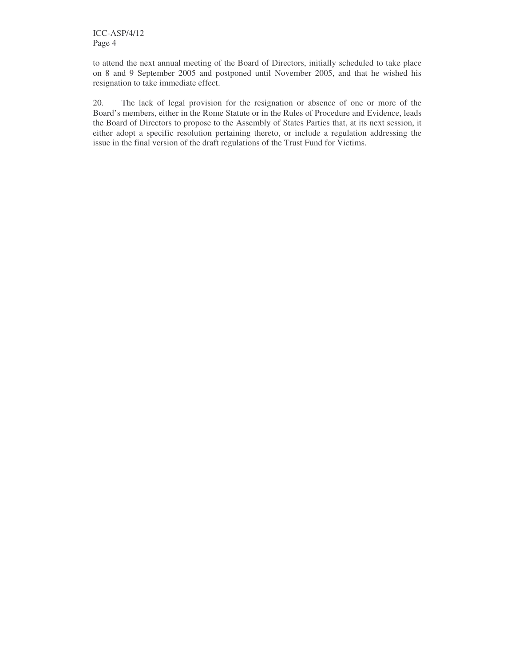to attend the next annual meeting of the Board of Directors, initially scheduled to take place on 8 and 9 September 2005 and postponed until November 2005, and that he wished his resignation to take immediate effect.

20. The lack of legal provision for the resignation or absence of one or more of the Board's members, either in the Rome Statute or in the Rules of Procedure and Evidence, leads the Board of Directors to propose to the Assembly of States Parties that, at its next session, it either adopt a specific resolution pertaining thereto, or include a regulation addressing the issue in the final version of the draft regulations of the Trust Fund for Victims.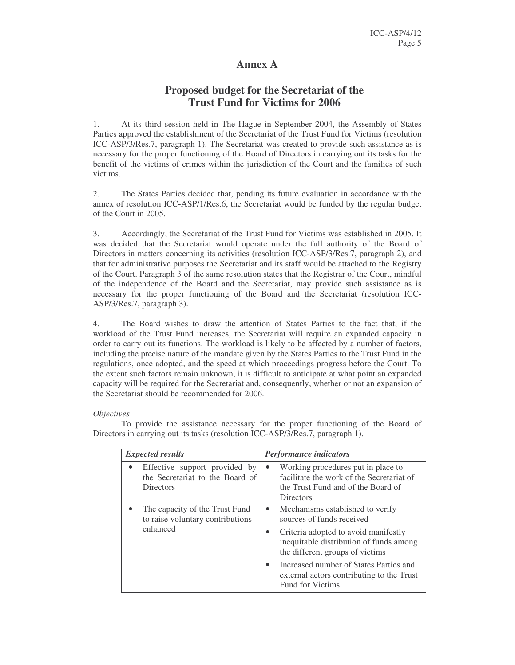## **Annex A**

# **Proposed budget for the Secretariat of the Trust Fund for Victims for 2006**

1. At its third session held in The Hague in September 2004, the Assembly of States Parties approved the establishment of the Secretariat of the Trust Fund for Victims (resolution ICC-ASP/3/Res.7, paragraph 1). The Secretariat was created to provide such assistance as is necessary for the proper functioning of the Board of Directors in carrying out its tasks for the benefit of the victims of crimes within the jurisdiction of the Court and the families of such victims.

2. The States Parties decided that, pending its future evaluation in accordance with the annex of resolution ICC-ASP/1/Res.6, the Secretariat would be funded by the regular budget of the Court in 2005.

3. Accordingly, the Secretariat of the Trust Fund for Victims was established in 2005. It was decided that the Secretariat would operate under the full authority of the Board of Directors in matters concerning its activities (resolution ICC-ASP/3/Res.7, paragraph 2), and that for administrative purposes the Secretariat and its staff would be attached to the Registry of the Court. Paragraph 3 of the same resolution states that the Registrar of the Court, mindful of the independence of the Board and the Secretariat, may provide such assistance as is necessary for the proper functioning of the Board and the Secretariat (resolution ICC-ASP/3/Res.7, paragraph 3).

4. The Board wishes to draw the attention of States Parties to the fact that, if the workload of the Trust Fund increases, the Secretariat will require an expanded capacity in order to carry out its functions. The workload is likely to be affected by a number of factors, including the precise nature of the mandate given by the States Parties to the Trust Fund in the regulations, once adopted, and the speed at which proceedings progress before the Court. To the extent such factors remain unknown, it is difficult to anticipate at what point an expanded capacity will be required for the Secretariat and, consequently, whether or not an expansion of the Secretariat should be recommended for 2006.

#### *Objectives*

To provide the assistance necessary for the proper functioning of the Board of Directors in carrying out its tasks (resolution ICC-ASP/3/Res.7, paragraph 1).

| <i>Expected results</i>                                                              | <b>Performance indicators</b>                                                                                                                                                                                                                                                                                                                |
|--------------------------------------------------------------------------------------|----------------------------------------------------------------------------------------------------------------------------------------------------------------------------------------------------------------------------------------------------------------------------------------------------------------------------------------------|
| Effective support provided by<br>the Secretariat to the Board of<br><b>Directors</b> | Working procedures put in place to<br>$\bullet$<br>facilitate the work of the Secretariat of<br>the Trust Fund and of the Board of<br>Directors                                                                                                                                                                                              |
| The capacity of the Trust Fund<br>to raise voluntary contributions<br>enhanced       | Mechanisms established to verify<br>$\bullet$<br>sources of funds received<br>Criteria adopted to avoid manifestly<br>$\bullet$<br>inequitable distribution of funds among<br>the different groups of victims<br>Increased number of States Parties and<br>$\bullet$<br>external actors contributing to the Trust<br><b>Fund for Victims</b> |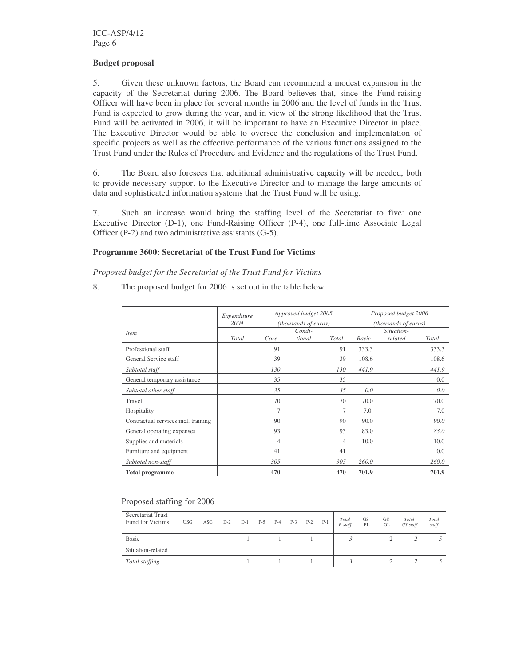#### **Budget proposal**

5. Given these unknown factors, the Board can recommend a modest expansion in the capacity of the Secretariat during 2006. The Board believes that, since the Fund-raising Officer will have been in place for several months in 2006 and the level of funds in the Trust Fund is expected to grow during the year, and in view of the strong likelihood that the Trust Fund will be activated in 2006, it will be important to have an Executive Director in place. The Executive Director would be able to oversee the conclusion and implementation of specific projects as well as the effective performance of the various functions assigned to the Trust Fund under the Rules of Procedure and Evidence and the regulations of the Trust Fund.

6. The Board also foresees that additional administrative capacity will be needed, both to provide necessary support to the Executive Director and to manage the large amounts of data and sophisticated information systems that the Trust Fund will be using.

7. Such an increase would bring the staffing level of the Secretariat to five: one Executive Director (D-1), one Fund-Raising Officer (P-4), one full-time Associate Legal Officer (P-2) and two administrative assistants (G-5).

#### **Programme 3600: Secretariat of the Trust Fund for Victims**

#### *Proposed budget for the Secretariat of the Trust Fund for Victims*

8. The proposed budget for 2006 is set out in the table below.

|                                     | Expenditure<br>2004 | Approved budget 2005<br>(thousands of euros) |        |                | Proposed budget 2006<br>(thousands of euros) |            |       |
|-------------------------------------|---------------------|----------------------------------------------|--------|----------------|----------------------------------------------|------------|-------|
| <b>Item</b>                         |                     |                                              | Condi- |                |                                              | Situation- |       |
|                                     | Total               | Core                                         | tional | Total          | Basic                                        | related    | Total |
| Professional staff                  |                     | 91                                           |        | 91             | 333.3                                        |            | 333.3 |
| General Service staff               |                     | 39                                           |        | 39             | 108.6                                        |            | 108.6 |
| Subtotal staff                      |                     | 130                                          |        | 130            | 441.9                                        |            | 441.9 |
| General temporary assistance        |                     | 35                                           |        | 35             |                                              |            | 0.0   |
| Subtotal other staff                |                     | 35                                           |        | 35             | 0.0                                          |            | 0.0   |
| Travel                              |                     | 70                                           |        | 70             | 70.0                                         |            | 70.0  |
| Hospitality                         |                     | 7                                            |        | $\overline{7}$ | 7.0                                          |            | 7.0   |
| Contractual services incl. training |                     | 90                                           |        | 90             | 90.0                                         |            | 90.0  |
| General operating expenses          |                     | 93                                           |        | 93             | 83.0                                         |            | 83.0  |
| Supplies and materials              |                     | $\overline{4}$                               |        | 4              | 10.0                                         |            | 10.0  |
| Furniture and equipment             |                     | 41                                           |        | 41             |                                              |            | 0.0   |
| Subtotal non-staff                  |                     | 305                                          |        | 305            | 260.0                                        |            | 260.0 |
| <b>Total programme</b>              |                     | 470                                          |        | 470            | 701.9                                        |            | 701.9 |

#### Proposed staffing for 2006

| Secretariat Trust<br>Fund for Victims | <b>USG</b> | ASG | $D-2$ | $D-1$ | P-5 | $P-4$ | $P-3$ | $P-2$ | $P-1$ | Total<br>$P$ -staff | $GS-$<br>PL | GS-<br><b>OL</b> | Total<br>GS-staff | Total<br>staff |
|---------------------------------------|------------|-----|-------|-------|-----|-------|-------|-------|-------|---------------------|-------------|------------------|-------------------|----------------|
| <b>Basic</b>                          |            |     |       |       |     |       |       |       |       |                     |             | ↵                | ∸                 |                |
| Situation-related                     |            |     |       |       |     |       |       |       |       |                     |             |                  |                   |                |
| Total staffing                        |            |     |       |       |     |       |       |       |       |                     |             |                  |                   |                |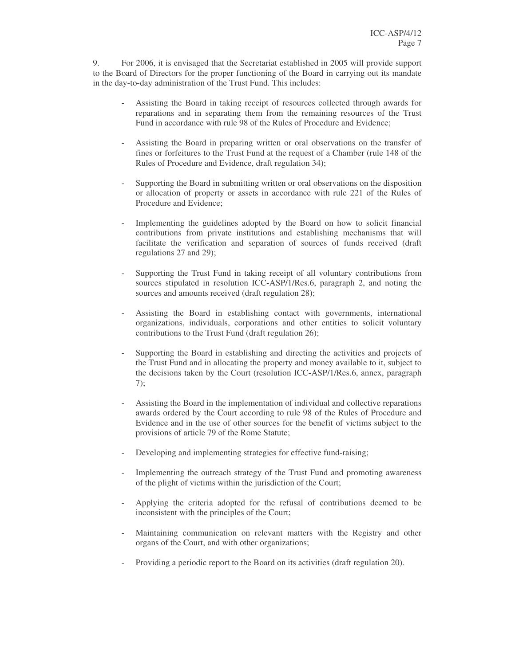9. For 2006, it is envisaged that the Secretariat established in 2005 will provide support to the Board of Directors for the proper functioning of the Board in carrying out its mandate in the day-to-day administration of the Trust Fund. This includes:

- Assisting the Board in taking receipt of resources collected through awards for reparations and in separating them from the remaining resources of the Trust Fund in accordance with rule 98 of the Rules of Procedure and Evidence;
- Assisting the Board in preparing written or oral observations on the transfer of fines or forfeitures to the Trust Fund at the request of a Chamber (rule 148 of the Rules of Procedure and Evidence, draft regulation 34);
- Supporting the Board in submitting written or oral observations on the disposition or allocation of property or assets in accordance with rule 221 of the Rules of Procedure and Evidence;
- Implementing the guidelines adopted by the Board on how to solicit financial contributions from private institutions and establishing mechanisms that will facilitate the verification and separation of sources of funds received (draft regulations 27 and 29);
- Supporting the Trust Fund in taking receipt of all voluntary contributions from sources stipulated in resolution ICC-ASP/1/Res.6, paragraph 2, and noting the sources and amounts received (draft regulation 28);
- Assisting the Board in establishing contact with governments, international organizations, individuals, corporations and other entities to solicit voluntary contributions to the Trust Fund (draft regulation 26);
- Supporting the Board in establishing and directing the activities and projects of the Trust Fund and in allocating the property and money available to it, subject to the decisions taken by the Court (resolution ICC-ASP/1/Res.6, annex, paragraph 7);
- Assisting the Board in the implementation of individual and collective reparations awards ordered by the Court according to rule 98 of the Rules of Procedure and Evidence and in the use of other sources for the benefit of victims subject to the provisions of article 79 of the Rome Statute;
- Developing and implementing strategies for effective fund-raising;
- Implementing the outreach strategy of the Trust Fund and promoting awareness of the plight of victims within the jurisdiction of the Court;
- Applying the criteria adopted for the refusal of contributions deemed to be inconsistent with the principles of the Court;
- Maintaining communication on relevant matters with the Registry and other organs of the Court, and with other organizations;
- Providing a periodic report to the Board on its activities (draft regulation 20).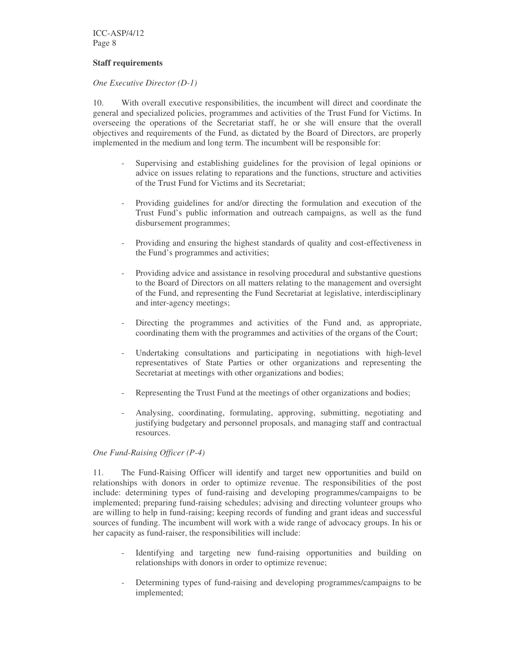ICC-ASP/4/12 Page 8

#### **Staff requirements**

#### *One Executive Director (D-1)*

10. With overall executive responsibilities, the incumbent will direct and coordinate the general and specialized policies, programmes and activities of the Trust Fund for Victims. In overseeing the operations of the Secretariat staff, he or she will ensure that the overall objectives and requirements of the Fund, as dictated by the Board of Directors, are properly implemented in the medium and long term. The incumbent will be responsible for:

- Supervising and establishing guidelines for the provision of legal opinions or advice on issues relating to reparations and the functions, structure and activities of the Trust Fund for Victims and its Secretariat;
- Providing guidelines for and/or directing the formulation and execution of the Trust Fund's public information and outreach campaigns, as well as the fund disbursement programmes;
- Providing and ensuring the highest standards of quality and cost-effectiveness in the Fund's programmes and activities;
- Providing advice and assistance in resolving procedural and substantive questions to the Board of Directors on all matters relating to the management and oversight of the Fund, and representing the Fund Secretariat at legislative, interdisciplinary and inter-agency meetings;
- Directing the programmes and activities of the Fund and, as appropriate, coordinating them with the programmes and activities of the organs of the Court;
- Undertaking consultations and participating in negotiations with high-level representatives of State Parties or other organizations and representing the Secretariat at meetings with other organizations and bodies;
- Representing the Trust Fund at the meetings of other organizations and bodies;
- Analysing, coordinating, formulating, approving, submitting, negotiating and justifying budgetary and personnel proposals, and managing staff and contractual resources.

#### *One Fund-Raising Officer (P-4)*

11. The Fund-Raising Officer will identify and target new opportunities and build on relationships with donors in order to optimize revenue. The responsibilities of the post include: determining types of fund-raising and developing programmes/campaigns to be implemented; preparing fund-raising schedules; advising and directing volunteer groups who are willing to help in fund-raising; keeping records of funding and grant ideas and successful sources of funding. The incumbent will work with a wide range of advocacy groups. In his or her capacity as fund-raiser, the responsibilities will include:

- Identifying and targeting new fund-raising opportunities and building on relationships with donors in order to optimize revenue;
- Determining types of fund-raising and developing programmes/campaigns to be implemented;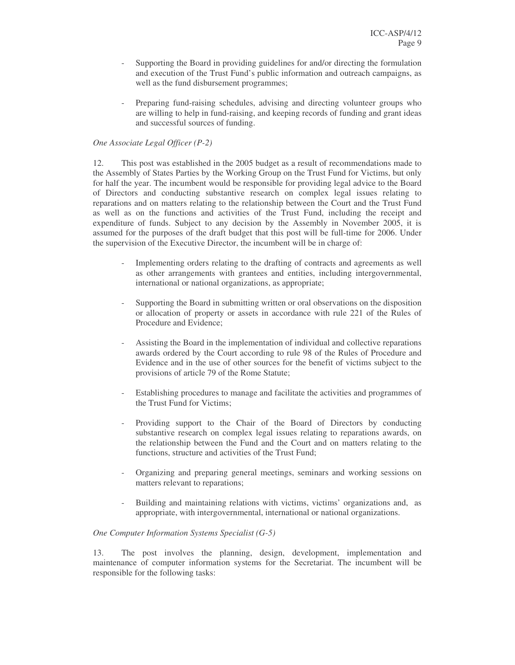- Supporting the Board in providing guidelines for and/or directing the formulation and execution of the Trust Fund's public information and outreach campaigns, as well as the fund disbursement programmes;
- Preparing fund-raising schedules, advising and directing volunteer groups who are willing to help in fund-raising, and keeping records of funding and grant ideas and successful sources of funding.

#### *One Associate Legal Officer (P-2)*

12. This post was established in the 2005 budget as a result of recommendations made to the Assembly of States Parties by the Working Group on the Trust Fund for Victims, but only for half the year. The incumbent would be responsible for providing legal advice to the Board of Directors and conducting substantive research on complex legal issues relating to reparations and on matters relating to the relationship between the Court and the Trust Fund as well as on the functions and activities of the Trust Fund, including the receipt and expenditure of funds. Subject to any decision by the Assembly in November 2005, it is assumed for the purposes of the draft budget that this post will be full-time for 2006. Under the supervision of the Executive Director, the incumbent will be in charge of:

- Implementing orders relating to the drafting of contracts and agreements as well as other arrangements with grantees and entities, including intergovernmental, international or national organizations, as appropriate;
- Supporting the Board in submitting written or oral observations on the disposition or allocation of property or assets in accordance with rule 221 of the Rules of Procedure and Evidence;
- Assisting the Board in the implementation of individual and collective reparations awards ordered by the Court according to rule 98 of the Rules of Procedure and Evidence and in the use of other sources for the benefit of victims subject to the provisions of article 79 of the Rome Statute;
- Establishing procedures to manage and facilitate the activities and programmes of the Trust Fund for Victims;
- Providing support to the Chair of the Board of Directors by conducting substantive research on complex legal issues relating to reparations awards, on the relationship between the Fund and the Court and on matters relating to the functions, structure and activities of the Trust Fund;
- Organizing and preparing general meetings, seminars and working sessions on matters relevant to reparations;
- Building and maintaining relations with victims, victims' organizations and, as appropriate, with intergovernmental, international or national organizations.

#### *One Computer Information Systems Specialist (G-5)*

13. The post involves the planning, design, development, implementation and maintenance of computer information systems for the Secretariat. The incumbent will be responsible for the following tasks: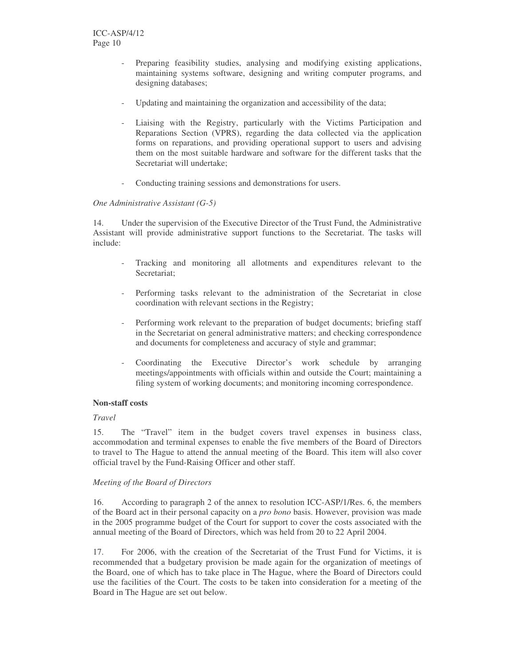- Preparing feasibility studies, analysing and modifying existing applications, maintaining systems software, designing and writing computer programs, and designing databases;
- Updating and maintaining the organization and accessibility of the data;
- Liaising with the Registry, particularly with the Victims Participation and Reparations Section (VPRS), regarding the data collected via the application forms on reparations, and providing operational support to users and advising them on the most suitable hardware and software for the different tasks that the Secretariat will undertake;
- Conducting training sessions and demonstrations for users.

#### *One Administrative Assistant (G-5)*

14. Under the supervision of the Executive Director of the Trust Fund, the Administrative Assistant will provide administrative support functions to the Secretariat. The tasks will include:

- Tracking and monitoring all allotments and expenditures relevant to the Secretariat;
- Performing tasks relevant to the administration of the Secretariat in close coordination with relevant sections in the Registry;
- Performing work relevant to the preparation of budget documents; briefing staff in the Secretariat on general administrative matters; and checking correspondence and documents for completeness and accuracy of style and grammar;
- Coordinating the Executive Director's work schedule by arranging meetings/appointments with officials within and outside the Court; maintaining a filing system of working documents; and monitoring incoming correspondence.

#### **Non-staff costs**

#### *Travel*

15. The "Travel" item in the budget covers travel expenses in business class, accommodation and terminal expenses to enable the five members of the Board of Directors to travel to The Hague to attend the annual meeting of the Board. This item will also cover official travel by the Fund-Raising Officer and other staff.

#### *Meeting of the Board of Directors*

16. According to paragraph 2 of the annex to resolution ICC-ASP/1/Res. 6, the members of the Board act in their personal capacity on a *pro bono* basis. However, provision was made in the 2005 programme budget of the Court for support to cover the costs associated with the annual meeting of the Board of Directors, which was held from 20 to 22 April 2004.

17. For 2006, with the creation of the Secretariat of the Trust Fund for Victims, it is recommended that a budgetary provision be made again for the organization of meetings of the Board, one of which has to take place in The Hague, where the Board of Directors could use the facilities of the Court. The costs to be taken into consideration for a meeting of the Board in The Hague are set out below.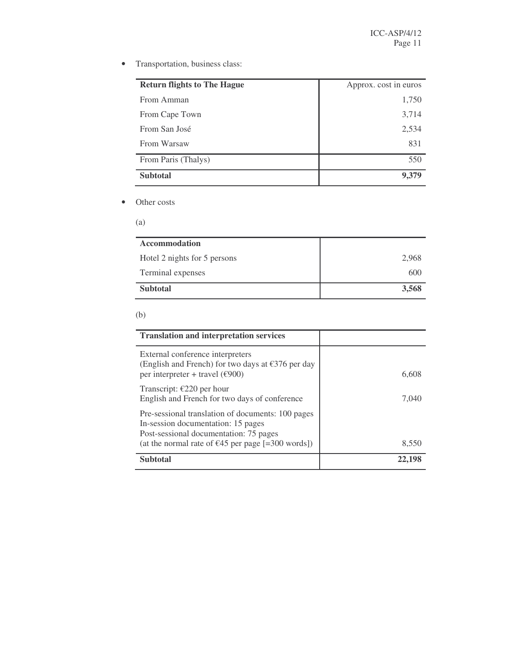• Transportation, business class:

| <b>Return flights to The Hague</b> | Approx. cost in euros |
|------------------------------------|-----------------------|
| From Amman                         | 1,750                 |
| From Cape Town                     | 3,714                 |
| From San José                      | 2,534                 |
| From Warsaw                        | 831                   |
| From Paris (Thalys)                | 550                   |
| <b>Subtotal</b>                    |                       |

• Other costs

(a)

| <b>Accommodation</b>         |       |
|------------------------------|-------|
| Hotel 2 nights for 5 persons | 2,968 |
| Terminal expenses            | 600   |
| <b>Subtotal</b>              | 3,568 |

#### (b)

| <b>Translation and interpretation services</b>                                                                                                                                                   |       |
|--------------------------------------------------------------------------------------------------------------------------------------------------------------------------------------------------|-------|
| External conference interpreters<br>(English and French) for two days at $\epsilon$ 376 per day<br>per interpreter + travel ( $€900$ )                                                           | 6,608 |
| Transcript: $E220$ per hour<br>English and French for two days of conference                                                                                                                     | 7.040 |
| Pre-sessional translation of documents: 100 pages<br>In-session documentation: 15 pages<br>Post-sessional documentation: 75 pages<br>(at the normal rate of $\epsilon$ 45 per page [=300 words]) | 8,550 |
| <b>Subtotal</b>                                                                                                                                                                                  | 22.19 |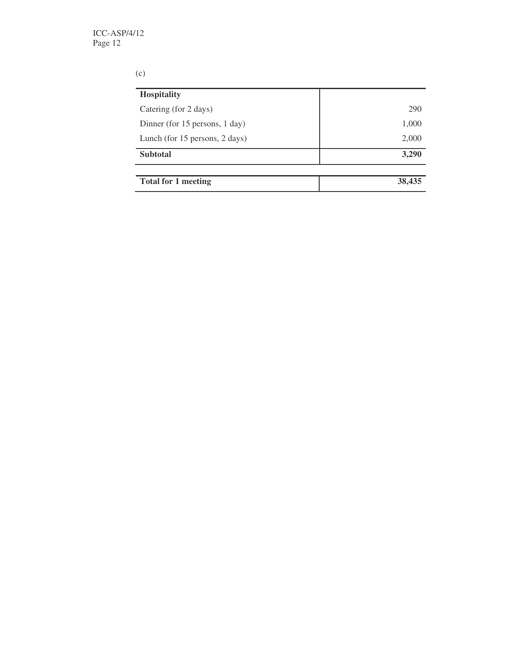## (c)

| <b>Hospitality</b>             |        |
|--------------------------------|--------|
| Catering (for 2 days)          | 290    |
| Dinner (for 15 persons, 1 day) | 1,000  |
| Lunch (for 15 persons, 2 days) | 2,000  |
| <b>Subtotal</b>                | 3,290  |
|                                |        |
| <b>Total for 1 meeting</b>     | 38,435 |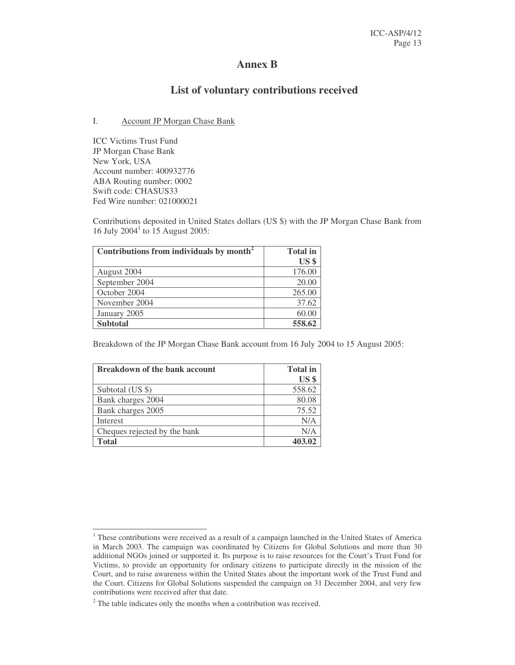## **Annex B**

# **List of voluntary contributions received**

#### I. Account JP Morgan Chase Bank

ICC Victims Trust Fund JP Morgan Chase Bank New York, USA Account number: 400932776 ABA Routing number: 0002 Swift code: CHASUS33 Fed Wire number: 021000021

Contributions deposited in United States dollars (US \$) with the JP Morgan Chase Bank from 16 July 2004 1 to 15 August 2005:

| Contributions from individuals by month <sup>2</sup> | <b>Total</b> in |
|------------------------------------------------------|-----------------|
|                                                      | US <sub>s</sub> |
| August 2004                                          | 176.00          |
| September 2004                                       | 20.00           |
| October 2004                                         | 265.00          |
| November 2004                                        | 37.62           |
| January 2005                                         | 60.00           |
| <b>Subtotal</b>                                      | 558.62          |

Breakdown of the JP Morgan Chase Bank account from 16 July 2004 to 15 August 2005:

| <b>Breakdown of the bank account</b> | <b>Total</b> in |
|--------------------------------------|-----------------|
|                                      | US <sub>3</sub> |
| Subtotal (US \$)                     | 558.62          |
| Bank charges 2004                    | 80.08           |
| Bank charges 2005                    | 75.52           |
| Interest                             | N/A             |
| Cheques rejected by the bank         | N/A             |
| <b>Total</b>                         | 403.02          |

<sup>&</sup>lt;sup>1</sup> These contributions were received as a result of a campaign launched in the United States of America in March 2003. The campaign was coordinated by Citizens for Global Solutions and more than 30 additional NGOs joined or supported it. Its purpose is to raise resources for the Court's Trust Fund for Victims, to provide an opportunity for ordinary citizens to participate directly in the mission of the Court, and to raise awareness within the United States about the important work of the Trust Fund and the Court. Citizens for Global Solutions suspended the campaign on 31 December 2004, and very few contributions were received after that date.

 $2$ <sup>2</sup> The table indicates only the months when a contribution was received.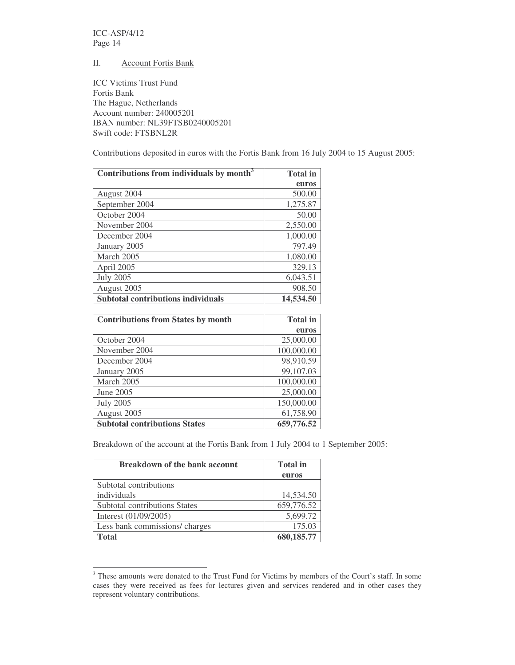ICC-ASP/4/12 Page 14

#### II. Account Fortis Bank

ICC Victims Trust Fund Fortis Bank The Hague, Netherlands Account number: 240005201 IBAN number: NL39FTSB0240005201 Swift code: FTSBNL2R

Contributions deposited in euros with the Fortis Bank from 16 July 2004 to 15 August 2005:

| Contributions from individuals by month <sup>3</sup> | <b>Total</b> in |
|------------------------------------------------------|-----------------|
|                                                      | euros           |
| August 2004                                          | 500.00          |
| September 2004                                       | 1,275.87        |
| October 2004                                         | 50.00           |
| November 2004                                        | 2,550.00        |
| December 2004                                        | 1,000.00        |
| January 2005                                         | 797.49          |
| March 2005                                           | 1,080.00        |
| April 2005                                           | 329.13          |
| <b>July 2005</b>                                     | 6,043.51        |
| August 2005                                          | 908.50          |
| <b>Subtotal contributions individuals</b>            | 14,534.50       |

| <b>Contributions from States by month</b> | <b>Total</b> in |
|-------------------------------------------|-----------------|
|                                           | euros           |
| October 2004                              | 25,000.00       |
| November 2004                             | 100,000.00      |
| December 2004                             | 98,910.59       |
| January 2005                              | 99,107.03       |
| March 2005                                | 100,000.00      |
| June 2005                                 | 25,000.00       |
| <b>July 2005</b>                          | 150,000.00      |
| August 2005                               | 61,758.90       |
| <b>Subtotal contributions States</b>      | 659,776.52      |

Breakdown of the account at the Fortis Bank from 1 July 2004 to 1 September 2005:

| <b>Breakdown of the bank account</b> | <b>Total</b> in |
|--------------------------------------|-----------------|
|                                      | euros           |
| Subtotal contributions               |                 |
| individuals                          | 14,534.50       |
| <b>Subtotal contributions States</b> | 659,776.52      |
| Interest (01/09/2005)                | 5,699.72        |
| Less bank commissions/ charges       | 175.03          |
| <b>Total</b>                         | 680,185.77      |

<sup>&</sup>lt;sup>3</sup> These amounts were donated to the Trust Fund for Victims by members of the Court's staff. In some cases they were received as fees for lectures given and services rendered and in other cases they represent voluntary contributions.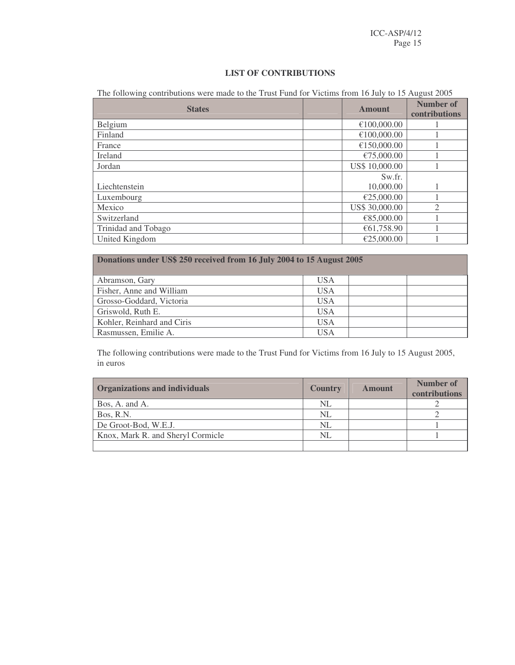### **LIST OF CONTRIBUTIONS**

The following contributions were made to the Trust Fund for Victims from 16 July to 15 August 2005

| <b>States</b>       | <b>Amount</b>  | Number of<br>contributions |
|---------------------|----------------|----------------------------|
| Belgium             | €100,000.00    |                            |
| Finland             | €100,000.00    |                            |
| France              | €150,000.00    |                            |
| Ireland             | €75,000.00     |                            |
| Jordan              | US\$ 10,000.00 |                            |
|                     | Sw.fr.         |                            |
| Liechtenstein       | 10,000.00      |                            |
| Luxembourg          | €25,000.00     |                            |
| Mexico              | US\$ 30,000.00 | $\bigcap$                  |
| Switzerland         | €85,000.00     |                            |
| Trinidad and Tobago | €61,758.90     |                            |
| United Kingdom      | €25,000.00     |                            |

| Donations under US\$ 250 received from 16 July 2004 to 15 August 2005 |            |  |  |  |
|-----------------------------------------------------------------------|------------|--|--|--|
| Abramson, Gary                                                        | <b>USA</b> |  |  |  |
| Fisher, Anne and William                                              | <b>USA</b> |  |  |  |
| Grosso-Goddard, Victoria                                              | <b>USA</b> |  |  |  |
| Griswold, Ruth E.                                                     | <b>USA</b> |  |  |  |
| Kohler, Reinhard and Ciris                                            | <b>USA</b> |  |  |  |
| Rasmussen, Emilie A.                                                  | <b>USA</b> |  |  |  |

The following contributions were made to the Trust Fund for Victims from 16 July to 15 August 2005, in euros

| <b>Organizations and individuals</b> | <b>Country</b> | <b>Amount</b> | Number of<br>contributions |
|--------------------------------------|----------------|---------------|----------------------------|
| Bos, A. and A.                       | NL             |               |                            |
| Bos, R.N.                            | NL             |               |                            |
| De Groot-Bod, W.E.J.                 | NL             |               |                            |
| Knox, Mark R. and Sheryl Cormicle    | NL             |               |                            |
|                                      |                |               |                            |